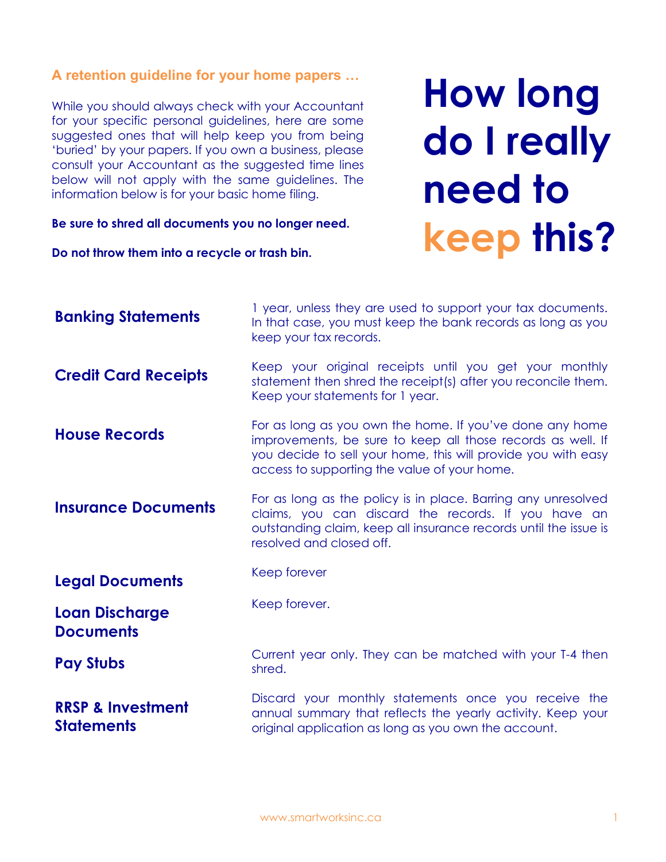## **A retention guideline for your home papers …**

While you should always check with your Accountant for your specific personal guidelines, here are some suggested ones that will help keep you from being 'buried' by your papers. If you own a business, please consult your Accountant as the suggested time lines below will not apply with the same guidelines. The information below is for your basic home filing.

**Be sure to shred all documents you no longer need.**

**Do not throw them into a recycle or trash bin.**

**How long do I really need to keep this?**

| <b>Banking Statements</b>                         | I year, unless they are used to support your tax documents.<br>In that case, you must keep the bank records as long as you<br>keep your tax records.                                                                                     |
|---------------------------------------------------|------------------------------------------------------------------------------------------------------------------------------------------------------------------------------------------------------------------------------------------|
| <b>Credit Card Receipts</b>                       | Keep your original receipts until you get your monthly<br>statement then shred the receipt(s) after you reconcile them.<br>Keep your statements for 1 year.                                                                              |
| <b>House Records</b>                              | For as long as you own the home. If you've done any home<br>improvements, be sure to keep all those records as well. If<br>you decide to sell your home, this will provide you with easy<br>access to supporting the value of your home. |
| <b>Insurance Documents</b>                        | For as long as the policy is in place. Barring any unresolved<br>claims, you can discard the records. If you have an<br>outstanding claim, keep all insurance records until the issue is<br>resolved and closed off.                     |
| <b>Legal Documents</b>                            | Keep forever                                                                                                                                                                                                                             |
| <b>Loan Discharge</b><br><b>Documents</b>         | Keep forever.                                                                                                                                                                                                                            |
| <b>Pay Stubs</b>                                  | Current year only. They can be matched with your T-4 then<br>shred.                                                                                                                                                                      |
| <b>RRSP &amp; Investment</b><br><b>Statements</b> | Discard your monthly statements once you receive the<br>annual summary that reflects the yearly activity. Keep your<br>original application as long as you own the account.                                                              |